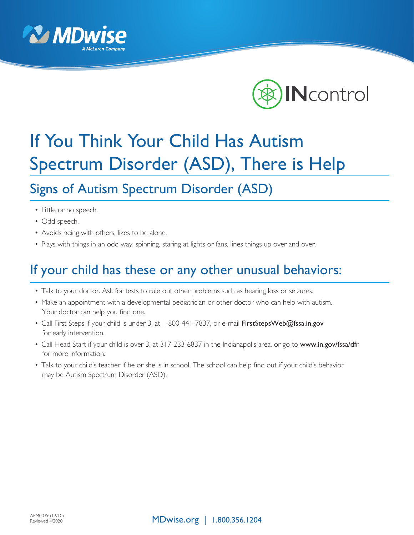



## If You Think Your Child Has Autism Spectrum Disorder (ASD), There is Help

## Signs of Autism Spectrum Disorder (ASD)

- Little or no speech.
- Odd speech.
- Avoids being with others, likes to be alone.
- Plays with things in an odd way: spinning, staring at lights or fans, lines things up over and over.

## If your child has these or any other unusual behaviors:

- Talk to your doctor. Ask for tests to rule out other problems such as hearing loss or seizures.
- Make an appointment with a developmental pediatrician or other doctor who can help with autism. Your doctor can help you find one.
- Call First Steps if your child is under 3, at 1-800-441-7837, or e-mail FirstStepsWeb@fssa.in.gov for early intervention.
- Call Head Start if your child is over 3, at 317-233-6837 in the Indianapolis area, or go to www.in.gov/fssa/dfr for more information.
- Talk to your child's teacher if he or she is in school. The school can help find out if your child's behavior may be Autism Spectrum Disorder (ASD).